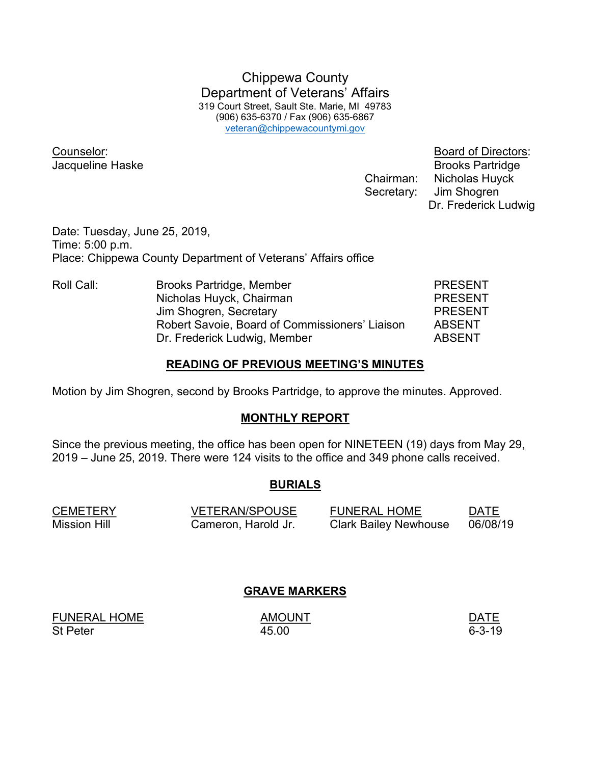Chippewa County Department of Veterans' Affairs 319 Court Street, Sault Ste. Marie, MI 49783 (906) 635-6370 / Fax (906) 635-6867 veteran@chippewacountymi.gov

Counselor: Board of Directors:

**Jacqueline Haske** Brooks Partridge Chairman: Nicholas Huyck Secretary: Jim Shogren Dr. Frederick Ludwig

Date: Tuesday, June 25, 2019, Time: 5:00 p.m. Place: Chippewa County Department of Veterans' Affairs office

Roll Call: Brooks Partridge, Member PRESENT Nicholas Huyck, Chairman **PRESENT** Jim Shogren, Secretary **PRESENT**  Robert Savoie, Board of Commissioners' Liaison ABSENT Dr. Frederick Ludwig, Member ABSENT

#### READING OF PREVIOUS MEETING'S MINUTES

Motion by Jim Shogren, second by Brooks Partridge, to approve the minutes. Approved.

#### MONTHLY REPORT

Since the previous meeting, the office has been open for NINETEEN (19) days from May 29, 2019 – June 25, 2019. There were 124 visits to the office and 349 phone calls received.

#### BURIALS

| <b>CEMETERY</b> | <b>VETERAN/SPOUSE</b> | <b>FUNERAL HOME</b>          | <b>DATE</b> |
|-----------------|-----------------------|------------------------------|-------------|
| Mission Hill    | Cameron, Harold Jr.   | <b>Clark Bailey Newhouse</b> | 06/08/19    |

#### GRAVE MARKERS

FUNERAL HOME AMOUNT AMOUNT DATE St Peter 6-3-19